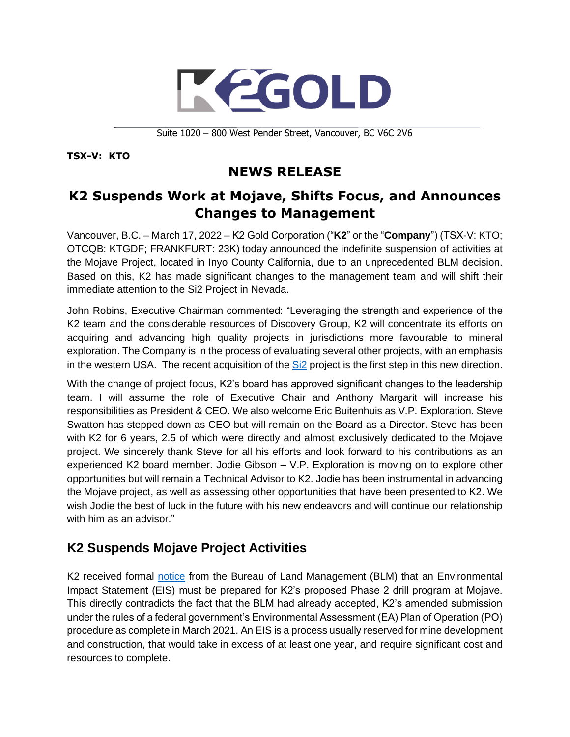

Suite 1020 – 800 West Pender Street, Vancouver, BC V6C 2V6

**TSX-V: KTO**

# **NEWS RELEASE**

## **K2 Suspends Work at Mojave, Shifts Focus, and Announces Changes to Management**

Vancouver, B.C. – March 17, 2022 – K2 Gold Corporation ("**K2**" or the "**Company**") (TSX-V: KTO; OTCQB: KTGDF; FRANKFURT: 23K) today announced the indefinite suspension of activities at the Mojave Project, located in Inyo County California, due to an unprecedented BLM decision. Based on this, K2 has made significant changes to the management team and will shift their immediate attention to the Si2 Project in Nevada.

John Robins, Executive Chairman commented: "Leveraging the strength and experience of the K2 team and the considerable resources of Discovery Group, K2 will concentrate its efforts on acquiring and advancing high quality projects in jurisdictions more favourable to mineral exploration. The Company is in the process of evaluating several other projects, with an emphasis in the western USA. The recent acquisition of the Si<sub>2</sub> project is the first step in this new direction.

With the change of project focus, K2's board has approved significant changes to the leadership team. I will assume the role of Executive Chair and Anthony Margarit will increase his responsibilities as President & CEO. We also welcome Eric Buitenhuis as V.P. Exploration. Steve Swatton has stepped down as CEO but will remain on the Board as a Director. Steve has been with K2 for 6 years, 2.5 of which were directly and almost exclusively dedicated to the Mojave project. We sincerely thank Steve for all his efforts and look forward to his contributions as an experienced K2 board member. Jodie Gibson – V.P. Exploration is moving on to explore other opportunities but will remain a Technical Advisor to K2. Jodie has been instrumental in advancing the Mojave project, as well as assessing other opportunities that have been presented to K2. We wish Jodie the best of luck in the future with his new endeavors and will continue our relationship with him as an advisor."

## **K2 Suspends Mojave Project Activities**

K2 received formal [notice](https://k2gold.com/site/assets/files/6594/2022-03-10_blm_decision_letter.pdf) from the Bureau of Land Management (BLM) that an Environmental Impact Statement (EIS) must be prepared for K2's proposed Phase 2 drill program at Mojave. This directly contradicts the fact that the BLM had already accepted, K2's amended submission under the rules of a federal government's Environmental Assessment (EA) Plan of Operation (PO) procedure as complete in March 2021. An EIS is a process usually reserved for mine development and construction, that would take in excess of at least one year, and require significant cost and resources to complete.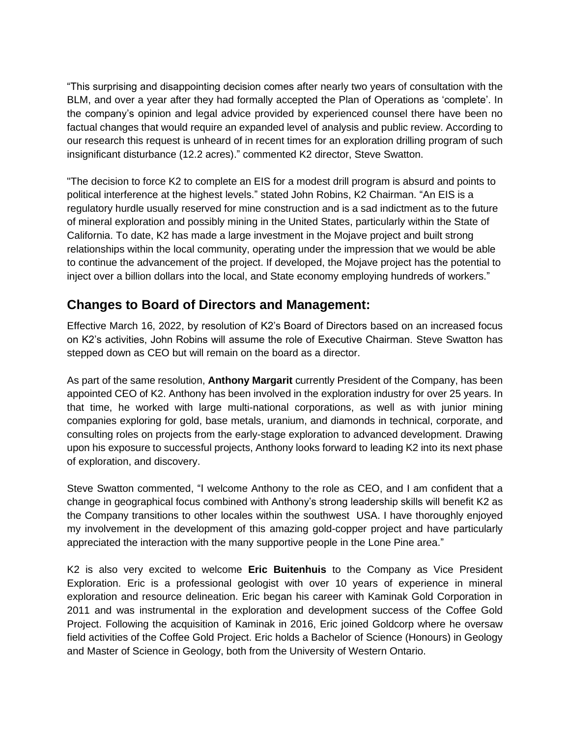"This surprising and disappointing decision comes after nearly two years of consultation with the BLM, and over a year after they had formally accepted the Plan of Operations as 'complete'. In the company's opinion and legal advice provided by experienced counsel there have been no factual changes that would require an expanded level of analysis and public review. According to our research this request is unheard of in recent times for an exploration drilling program of such insignificant disturbance (12.2 acres)." commented K2 director, Steve Swatton.

"The decision to force K2 to complete an EIS for a modest drill program is absurd and points to political interference at the highest levels." stated John Robins, K2 Chairman. "An EIS is a regulatory hurdle usually reserved for mine construction and is a sad indictment as to the future of mineral exploration and possibly mining in the United States, particularly within the State of California. To date, K2 has made a large investment in the Mojave project and built strong relationships within the local community, operating under the impression that we would be able to continue the advancement of the project. If developed, the Mojave project has the potential to inject over a billion dollars into the local, and State economy employing hundreds of workers."

#### **Changes to Board of Directors and Management:**

Effective March 16, 2022, by resolution of K2's Board of Directors based on an increased focus on K2's activities, John Robins will assume the role of Executive Chairman. Steve Swatton has stepped down as CEO but will remain on the board as a director.

As part of the same resolution, **Anthony Margarit** currently President of the Company, has been appointed CEO of K2. Anthony has been involved in the exploration industry for over 25 years. In that time, he worked with large multi-national corporations, as well as with junior mining companies exploring for gold, base metals, uranium, and diamonds in technical, corporate, and consulting roles on projects from the early-stage exploration to advanced development. Drawing upon his exposure to successful projects, Anthony looks forward to leading K2 into its next phase of exploration, and discovery.

Steve Swatton commented, "I welcome Anthony to the role as CEO, and I am confident that a change in geographical focus combined with Anthony's strong leadership skills will benefit K2 as the Company transitions to other locales within the southwest USA. I have thoroughly enjoyed my involvement in the development of this amazing gold-copper project and have particularly appreciated the interaction with the many supportive people in the Lone Pine area."

K2 is also very excited to welcome **Eric Buitenhuis** to the Company as Vice President Exploration. Eric is a professional geologist with over 10 years of experience in mineral exploration and resource delineation. Eric began his career with Kaminak Gold Corporation in 2011 and was instrumental in the exploration and development success of the Coffee Gold Project. Following the acquisition of Kaminak in 2016, Eric joined Goldcorp where he oversaw field activities of the Coffee Gold Project. Eric holds a Bachelor of Science (Honours) in Geology and Master of Science in Geology, both from the University of Western Ontario.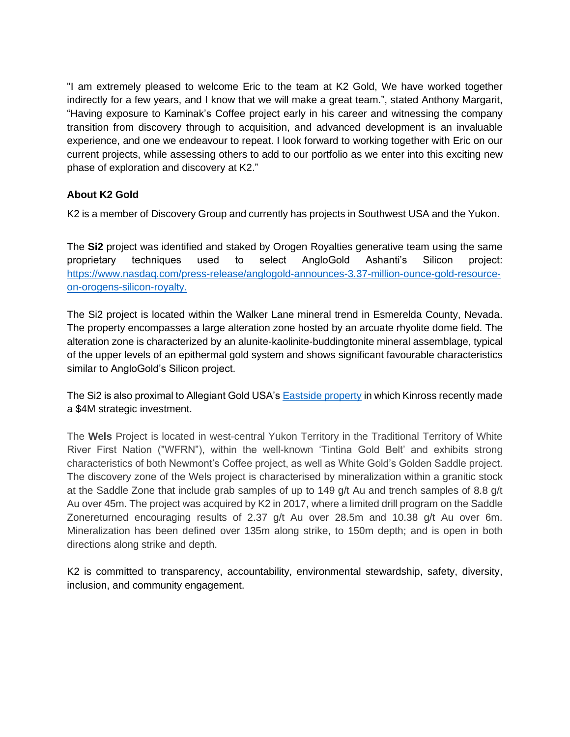"I am extremely pleased to welcome Eric to the team at K2 Gold, We have worked together indirectly for a few years, and I know that we will make a great team.", stated Anthony Margarit, "Having exposure to Kaminak's Coffee project early in his career and witnessing the company transition from discovery through to acquisition, and advanced development is an invaluable experience, and one we endeavour to repeat. I look forward to working together with Eric on our current projects, while assessing others to add to our portfolio as we enter into this exciting new phase of exploration and discovery at K2."

#### **About K2 Gold**

K2 is a member of Discovery Group and currently has projects in Southwest USA and the Yukon.

The **Si2** project was identified and staked by Orogen Royalties generative team using the same proprietary techniques used to select AngloGold Ashanti's Silicon project: [https://www.nasdaq.com/press-release/anglogold-announces-3.37-million-ounce-gold-resource](https://www.nasdaq.com/press-release/anglogold-announces-3.37-million-ounce-gold-resource-on-orogens-silicon-royalty)[on-orogens-silicon-royalty.](https://www.nasdaq.com/press-release/anglogold-announces-3.37-million-ounce-gold-resource-on-orogens-silicon-royalty)

The Si2 project is located within the Walker Lane mineral trend in Esmerelda County, Nevada. The property encompasses a large alteration zone hosted by an arcuate rhyolite dome field. The alteration zone is characterized by an alunite-kaolinite-buddingtonite mineral assemblage, typical of the upper levels of an epithermal gold system and shows significant favourable characteristics similar to AngloGold's Silicon project.

The Si2 is also proximal to Allegiant Gold USA'[s Eastside property](https://k2gold.com/site/assets/files/6594/auau_nr_2022_03_14_-_kinross_strategic_investment_-final.pdf) in which Kinross recently made a \$4M strategic investment.

The **Wels** Project is located in west-central Yukon Territory in the Traditional Territory of White River First Nation ("WFRN"), within the well-known 'Tintina Gold Belt' and exhibits strong characteristics of both Newmont's Coffee project, as well as White Gold's Golden Saddle project. The discovery zone of the Wels project is characterised by mineralization within a granitic stock at the Saddle Zone that include grab samples of up to 149 g/t Au and trench samples of 8.8 g/t Au over 45m. The project was acquired by K2 in 2017, where a limited drill program on the Saddle Zonereturned encouraging results of 2.37 g/t Au over 28.5m and 10.38 g/t Au over 6m. Mineralization has been defined over 135m along strike, to 150m depth; and is open in both directions along strike and depth.

K2 is committed to transparency, accountability, environmental stewardship, safety, diversity, inclusion, and community engagement.